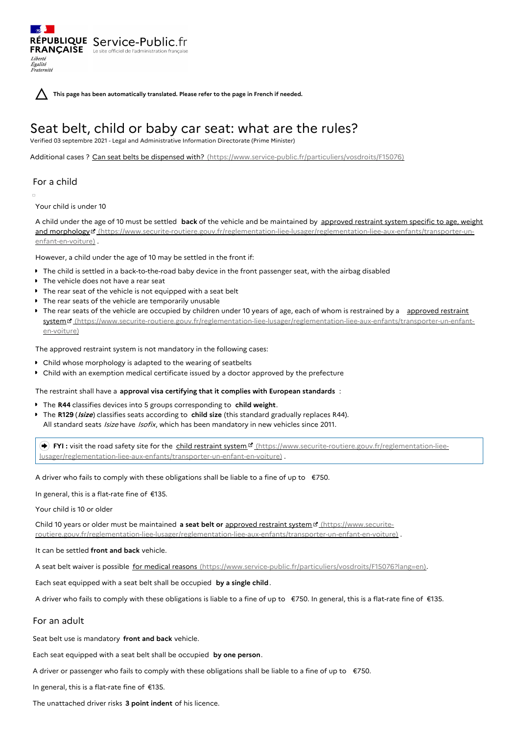**This page has been automatically translated. Please refer to the page in French if needed.**

# Seat belt, child or baby car seat: what are the rules?

Verified 03 septembre 2021 - Legal and Administrative Information Directorate (Prime Minister)

Additional cases ? Can seat belts be dispensed with? [\(https://www.service-public.fr/particuliers/vosdroits/F15076\)](https://www.service-public.fr/particuliers/vosdroits/F15076)

## For a child

Liberté Égalité Fraternité

Your child is under 10

A child under the age of 10 must be settled **back** of the vehicle and be maintained by approved restraint system specific to age, weight and morphology<sup>B</sup> [\(https://www.securite-routiere.gouv.fr/reglementation-liee-lusager/reglementation-liee-aux-enfants/transporter-un](https://www.securite-routiere.gouv.fr/reglementation-liee-lusager/reglementation-liee-aux-enfants/transporter-un-enfant-en-voiture)enfant-en-voiture) .

However, a child under the age of 10 may be settled in the front if:

- The child is settled in a back-to-the-road baby device in the front passenger seat, with the airbag disabled
- The vehicle does not have a rear seat

RÉPUBLIQUE Service-Public.fr **FRANÇAISE** Le site officiel de l'administration fran

- The rear seat of the vehicle is not equipped with a seat belt
- The rear seats of the vehicle are temporarily unusable
- The rear seats of the vehicle are occupied by children under 10 years of age, each of whom is restrained by a approved restraint system <sup>r</sup> [\(https://www.securite-routiere.gouv.fr/reglementation-liee-lusager/reglementation-liee-aux-enfants/transporter-un-enfant](https://www.securite-routiere.gouv.fr/reglementation-liee-lusager/reglementation-liee-aux-enfants/transporter-un-enfant-en-voiture)en-voiture)

The approved restraint system is not mandatory in the following cases:

- Child whose morphology is adapted to the wearing of seatbelts
- Child with an exemption medical certificate issued by a doctor approved by the prefecture

The restraint shall have a **approval visa certifying that it complies with European standards** :

- The **R44** classifies devices into 5 groups corresponding to **child weight**.
- The **R129** (**Isize**) classifies seats according to **child size** (this standard gradually replaces R44). All standard seats Isize have Isofix, which has been mandatory in new vehicles since 2011.

FYI : visit the road safety site for the child restraint system <sup>pr</sup> (https://www.securite-routiere.gouv.fr/reglementation-liee[lusager/reglementation-liee-aux-enfants/transporter-un-enfant-en-voiture\)](https://www.securite-routiere.gouv.fr/reglementation-liee-lusager/reglementation-liee-aux-enfants/transporter-un-enfant-en-voiture) .

A driver who fails to comply with these obligations shall be liable to a fine of up to  $\epsilon$ 750.

In general, this is a flat-rate fine of €135.

Your child is 10 or older

Child 10 years or older must be maintained **a seat belt or** approved restraint system (https://www.securite[routiere.gouv.fr/reglementation-liee-lusager/reglementation-liee-aux-enfants/transporter-un-enfant-en-voiture\)](https://www.securite-routiere.gouv.fr/reglementation-liee-lusager/reglementation-liee-aux-enfants/transporter-un-enfant-en-voiture) .

It can be settled **front and back** vehicle.

A seat belt waiver is possible for medical reasons [\(https://www.service-public.fr/particuliers/vosdroits/F15076?lang=en\)](https://www.service-public.fr/particuliers/vosdroits/F15076?lang=en).

Each seat equipped with a seat belt shall be occupied **by a single child**.

A driver who fails to comply with these obligations is liable to a fine of up to €750. In general, this is a flat-rate fine of €135.

### For an adult

Seat belt use is mandatory **front and back** vehicle.

Each seat equipped with a seat belt shall be occupied **by one person**.

A driver or passenger who fails to comply with these obligations shall be liable to a fine of up to  $\epsilon$ 750.

In general, this is a flat-rate fine of €135.

The unattached driver risks **3 point indent** of his licence.